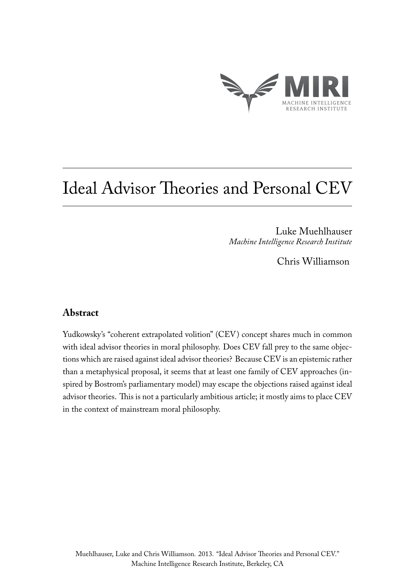

# Ideal Advisor Theories and Personal CEV

Luke Muehlhauser *Machine Intelligence Research Institute*

Chris Williamson

# **Abstract**

Yudkowsky's "coherent extrapolated volition" (CEV ) concept shares much in common with ideal advisor theories in moral philosophy. Does CEV fall prey to the same objections which are raised against ideal advisor theories? Because CEV is an epistemic rather than a metaphysical proposal, it seems that at least one family of CEV approaches (inspired by Bostrom's parliamentary model) may escape the objections raised against ideal advisor theories. This is not a particularly ambitious article; it mostly aims to place CEV in the context of mainstream moral philosophy.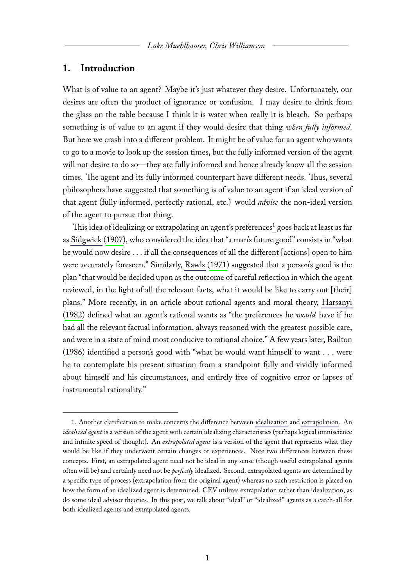## **1. Introduction**

What is of value to an agent? Maybe it's just whatever they desire. Unfortunately, our desires are often the product of ignorance or confusion. I may desire to drink from the glass on the table because I think it is water when really it is bleach. So perhaps something is of value to an agent if they would desire that thing *when fully informed*. But here we crash into a different problem. It might be of value for an agent who wants to go to a movie to look up the session times, but the fully informed version of the agent will not desire to do so—they are fully informed and hence already know all the session times. The agent and its fully informed counterpart have different needs. Thus, several philosophers have suggested that something is of value to an agent if an ideal version of that agent (fully informed, perfectly rational, etc.) would *advise* the non-ideal version of the agent to pursue that thing.

This idea of idealizing or extrapolating an agent's preferences<sup>[1](#page-1-0)</sup> goes back at least as far as [Sidgwick](http://www.laits.utexas.edu/poltheory/sidgwick/me/me.b01.c09.s03.html) [\(1907\)](#page-7-0), who considered the idea that "a man's future good" consists in "what he would now desire . . . if all the consequences of all the different [actions] open to him were accurately foreseen." Similarly, [Rawls](http://www.amazon.com/A-Theory-Justice-John-Rawls/dp/0674000781/) [\(1971\)](#page-7-1) suggested that a person's good is the plan "that would be decided upon as the outcome of careful reflection in which the agent reviewed, in the light of all the relevant facts, what it would be like to carry out [their] plans." More recently, in an article about rational agents and moral theory, [Harsanyi](http://www.amazon.com/Utilitarianism-Beyond-Amartya-Sen/dp/0521287715) [\(1982\)](#page-7-2) defined what an agent's rational wants as "the preferences he *would* have if he had all the relevant factual information, always reasoned with the greatest possible care, and were in a state of mind most conducive to rational choice." A few years later, Railton [\(1986\)](#page-7-3) identified a person's good with "what he would want himself to want . . . were he to contemplate his present situation from a standpoint fully and vividly informed about himself and his circumstances, and entirely free of cognitive error or lapses of instrumental rationality."

<span id="page-1-0"></span><sup>1.</sup> Another clarification to make concerns the difference between [idealization](http://en.wikipedia.org/wiki/Idealization) and [extrapolation.](http://en.wikipedia.org/wiki/Extrapolation) An *idealized agent* is a version of the agent with certain idealizing characteristics (perhaps logical omniscience and infinite speed of thought). An *extrapolated agent* is a version of the agent that represents what they would be like if they underwent certain changes or experiences. Note two differences between these concepts. First, an extrapolated agent need not be ideal in any sense (though useful extrapolated agents often will be) and certainly need not be *perfectly* idealized. Second, extrapolated agents are determined by a specific type of process (extrapolation from the original agent) whereas no such restriction is placed on how the form of an idealized agent is determined. CEV utilizes extrapolation rather than idealization, as do some ideal advisor theories. In this post, we talk about "ideal" or "idealized" agents as a catch-all for both idealized agents and extrapolated agents.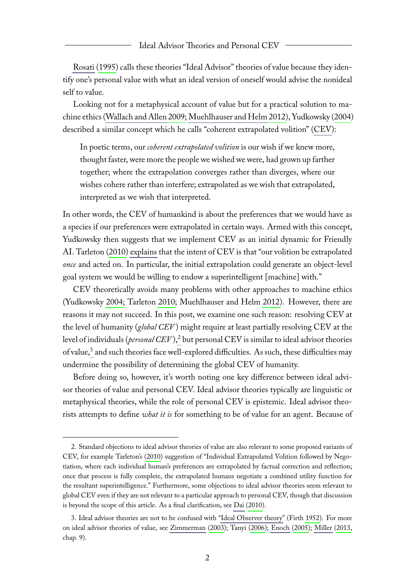[Rosati](http://www.jstor.org/stable/2382347) [\(1995\)](#page-7-4) calls these theories "Ideal Advisor" theories of value because they identify one's personal value with what an ideal version of oneself would advise the nonideal self to value.

Looking not for a metaphysical account of value but for a practical solution to machine ethics [\(Wallach and Allen](http://www.amazon.com/Moral-Machines-Teaching-Robots-Right/dp/0199737975/) [2009;](#page-7-5) [Muehlhauser and Helm](http://singularity.org/files/SaME.pdf) [2012\)](#page-7-6), Yudkowsky [\(2004\)](#page-7-7) described a similar concept which he calls "coherent extrapolated volition" [\(CEV\)](http://singularity.org/files/CEV.pdf):

In poetic terms, our *coherent extrapolated volition* is our wish if we knew more, thought faster, were more the people we wished we were, had grown up farther together; where the extrapolation converges rather than diverges, where our wishes cohere rather than interfere; extrapolated as we wish that extrapolated, interpreted as we wish that interpreted.

In other words, the CEV of humankind is about the preferences that we would have as a species if our preferences were extrapolated in certain ways. Armed with this concept, Yudkowsky then suggests that we implement CEV as an initial dynamic for Friendly AI. Tarleton [\(2010\)](#page-7-8) [explains](http://singularity.org/files/CEV-MachineEthics.pdf) that the intent of CEV is that "our volition be extrapolated *once* and acted on. In particular, the initial extrapolation could generate an object-level goal system we would be willing to endow a superintelligent [machine] with."

CEV theoretically avoids many problems with other approaches to machine ethics (Yudkowsky [2004;](#page-7-7) Tarleton [2010;](#page-7-8) Muehlhauser and Helm [2012\)](#page-7-6). However, there are reasons it may not succeed. In this post, we examine one such reason: resolving CEV at the level of humanity (*global CEV* ) might require at least partially resolving CEV at the level of individuals (*personal CEV*),<sup>[2](#page-2-0)</sup> but personal CEV is similar to ideal advisor theories of value,<sup>[3](#page-2-1)</sup> and such theories face well-explored difficulties. As such, these difficulties may undermine the possibility of determining the global CEV of humanity.

Before doing so, however, it's worth noting one key difference between ideal advisor theories of value and personal CEV. Ideal advisor theories typically are linguistic or metaphysical theories, while the role of personal CEV is epistemic. Ideal advisor theorists attempts to define *what it is* for something to be of value for an agent. Because of

<span id="page-2-0"></span><sup>2.</sup> Standard objections to ideal advisor theories of value are also relevant to some proposed variants of CEV, for example Tarleton's [\(2010\)](#page-7-8) suggestion of "Individual Extrapolated Volition followed by Negotiation, where each individual human's preferences are extrapolated by factual correction and reflection; once that process is fully complete, the extrapolated humans negotiate a combined utility function for the resultant superintelligence." Furthermore, some objections to ideal advisor theories seem relevant to global CEV even if they are not relevant to a particular approach to personal CEV, though that discussion is beyond the scope of this article. As a final clarification, see [Dai](http://lesswrong.com/lw/1oj/complexity_of_value_complexity_of_outcome/) [\(2010\)](#page-7-9).

<span id="page-2-1"></span><sup>3.</sup> Ideal advisor theories are not to be confused with ["Ideal Observer theory"](http://www.jstor.org/stable/2103988) (Firth [1952\)](#page-7-10). For more on ideal advisor theories of value, see [Zimmerman](http://link.springer.com/article/10.1023%2FB%3AINQU.0000013348.62494.55) [\(2003\)](#page-7-11); Tanyi [\(2006\)](#page-7-12); [Enoch](http://www.jstor.org/stable/10.1086/430490) [\(2005\)](#page-7-13); [Miller](http://www.amazon.com/Contemporary-Metaethics-Introduction-Alexander-Miller/dp/074564659X/) [\(2013,](#page-7-14) chap. 9).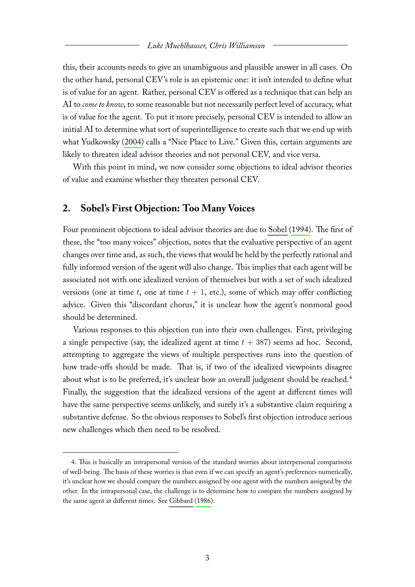this, their accounts needs to give an unambiguous and plausible answer in all cases. On the other hand, personal CEV's role is an epistemic one: it isn't intended to define what is of value for an agent. Rather, personal CEV is offered as a technique that can help an AI to *come to know*, to some reasonable but not necessarily perfect level of accuracy, what is of value for the agent. To put it more precisely, personal CEV is intended to allow an initial AI to determine what sort of superintelligence to create such that we end up with what Yudkowsky [\(2004\)](#page-7-7) calls a "Nice Place to Live." Given this, certain arguments are likely to threaten ideal advisor theories and not personal CEV, and vice versa.

With this point in mind, we now consider some objections to ideal advisor theories of value and examine whether they threaten personal CEV.

#### **2. Sobel's First Objection: Too Many Voices**

Four prominent objections to ideal advisor theories are dueto [Sobel](http://www.jstor.org/stable/2382218) [\(1994\)](#page-7-15). The first of these, the "too many voices" objection, notes that the evaluative perspective of an agent changes over time and, as such, the views that would be held by the perfectly rational and fully informed version of the agent will also change. This implies that each agent will be associated not with one idealized version of themselves but with a set of such idealized versions (one at time t, one at time  $t + 1$ , etc.), some of which may offer conflicting advice. Given this "discordant chorus," it is unclear how the agent's nonmoral good should be determined.

Various responses to this objection run into their own challenges. First, privileging a single perspective (say, the idealized agent at time  $t + 387$ ) seems ad hoc. Second, attempting to aggregate the views of multiple perspectives runs into the question of how trade-offs should be made. That is, if two of the idealized viewpoints disagree about what is to be preferred, it's unclear how an overall judgment should be reached.<sup>[4](#page-3-0)</sup> Finally, the suggestion that the idealized versions of the agent at different times will have the same perspective seems unlikely, and surely it's a substantive claim requiring a substantive defense. So the obvious responses to Sobel's first objection introduce serious new challenges which then need to be resolved.

<span id="page-3-0"></span><sup>4.</sup> This is basically an intrapersonal version of the standard worries about interpersonal comparisons of well-being. The basis of these worries is that even if we can specify an agent's preferences numerically, it's unclear how we should compare the numbers assigned by one agent with the numbers assigned by the other. In the intrapersonal case, the challenge is to determine how to compare the numbers assigned by the same agent at different times. See [Gibbard](http://www.amazon.com/Foundations-Social-Choice-Studies-Rationality/dp/0521389135/) [\(1986\)](#page-7-16).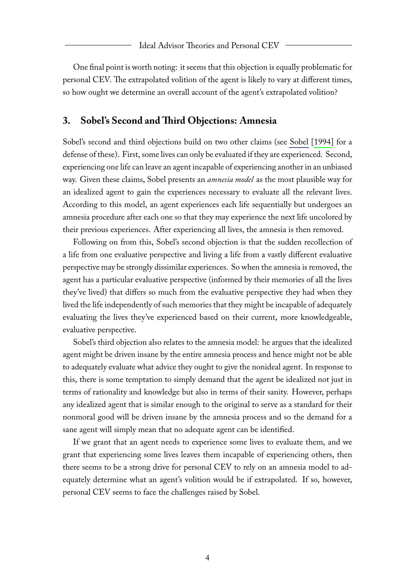One final point is worth noting: it seems that this objection is equally problematic for personal CEV. The extrapolated volition of the agent is likely to vary at different times, so how ought we determine an overall account of the agent's extrapolated volition?

## **3. Sobel's Second and Third Objections: Amnesia**

Sobel's second and third objections build on two other claims (see [Sobel](http://www.jstor.org/stable/2382218) [\[1994\]](#page-7-15) for a defense of these). First, some lives can only be evaluated if they are experienced. Second, experiencing one life can leave an agent incapable of experiencing another in an unbiased way. Given these claims, Sobel presents an *amnesia model* as the most plausible way for an idealized agent to gain the experiences necessary to evaluate all the relevant lives. According to this model, an agent experiences each life sequentially but undergoes an amnesia procedure after each one so that they may experience the next life uncolored by their previous experiences. After experiencing all lives, the amnesia is then removed.

Following on from this, Sobel's second objection is that the sudden recollection of a life from one evaluative perspective and living a life from a vastly different evaluative perspective may be strongly dissimilar experiences. So when the amnesia is removed, the agent has a particular evaluative perspective (informed by their memories of all the lives they've lived) that differs so much from the evaluative perspective they had when they lived the life independently of such memories that they might be incapable of adequately evaluating the lives they've experienced based on their current, more knowledgeable, evaluative perspective.

Sobel's third objection also relates to the amnesia model: he argues that the idealized agent might be driven insane by the entire amnesia process and hence might not be able to adequately evaluate what advice they ought to give the nonideal agent. In response to this, there is some temptation to simply demand that the agent be idealized not just in terms of rationality and knowledge but also in terms of their sanity. However, perhaps any idealized agent that is similar enough to the original to serve as a standard for their nonmoral good will be driven insane by the amnesia process and so the demand for a sane agent will simply mean that no adequate agent can be identified.

If we grant that an agent needs to experience some lives to evaluate them, and we grant that experiencing some lives leaves them incapable of experiencing others, then there seems to be a strong drive for personal CEV to rely on an amnesia model to adequately determine what an agent's volition would be if extrapolated. If so, however, personal CEV seems to face the challenges raised by Sobel.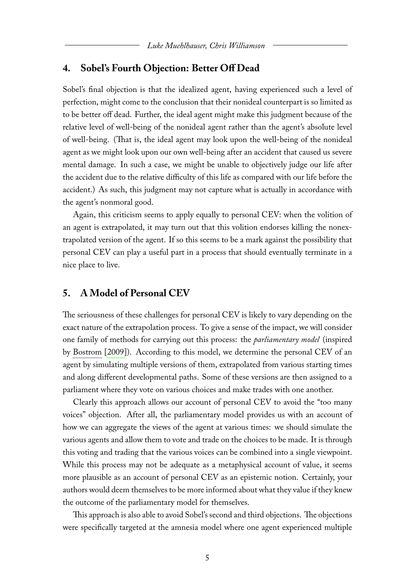### **4. Sobel's Fourth Objection: Better Off Dead**

Sobel's final objection is that the idealized agent, having experienced such a level of perfection, might come to the conclusion that their nonideal counterpart is so limited as to be better off dead. Further, the ideal agent might make this judgment because of the relative level of well-being of the nonideal agent rather than the agent's absolute level of well-being. (That is, the ideal agent may look upon the well-being of the nonideal agent as we might look upon our own well-being after an accident that caused us severe mental damage. In such a case, we might be unable to objectively judge our life after the accident due to the relative difficulty of this life as compared with our life before the accident.) As such, this judgment may not capture what is actually in accordance with the agent's nonmoral good.

Again, this criticism seems to apply equally to personal CEV: when the volition of an agent is extrapolated, it may turn out that this volition endorses killing the nonextrapolated version of the agent. If so this seems to be a mark against the possibility that personal CEV can play a useful part in a process that should eventually terminate in a nice place to live.

### **5. A Model of Personal CEV**

The seriousness of these challenges for personal CEV is likely to vary depending on the exact nature of the extrapolation process. To give a sense of the impact, we will consider one family of methods for carrying out this process: the *parliamentary model* (inspired by [Bostrom](http://www.overcomingbias.com/2009/01/moral-uncertainty-towards-a-solution.html) [\[2009\]](#page-7-17)). According to this model, we determine the personal CEV of an agent by simulating multiple versions of them, extrapolated from various starting times and along different developmental paths. Some of these versions are then assigned to a parliament where they vote on various choices and make trades with one another.

Clearly this approach allows our account of personal CEV to avoid the "too many voices" objection. After all, the parliamentary model provides us with an account of how we can aggregate the views of the agent at various times: we should simulate the various agents and allow them to vote and trade on the choices to be made. It is through this voting and trading that the various voices can be combined into a single viewpoint. While this process may not be adequate as a metaphysical account of value, it seems more plausible as an account of personal CEV as an epistemic notion. Certainly, your authors would deem themselves to be more informed about what they value if they knew the outcome of the parliamentary model for themselves.

This approach is also able to avoid Sobel's second and third objections. The objections were specifically targeted at the amnesia model where one agent experienced multiple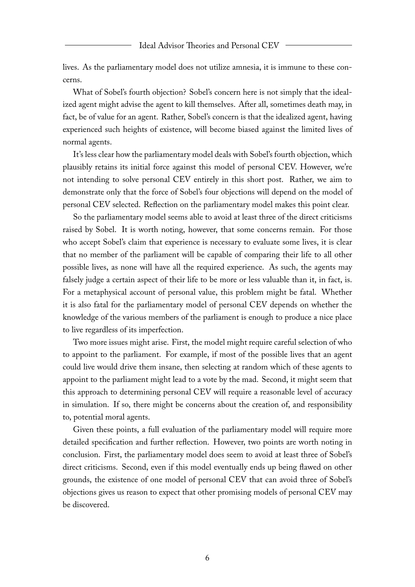lives. As the parliamentary model does not utilize amnesia, it is immune to these concerns.

What of Sobel's fourth objection? Sobel's concern here is not simply that the idealized agent might advise the agent to kill themselves. After all, sometimes death may, in fact, be of value for an agent. Rather, Sobel's concern is that the idealized agent, having experienced such heights of existence, will become biased against the limited lives of normal agents.

It's less clear how the parliamentary model deals with Sobel's fourth objection, which plausibly retains its initial force against this model of personal CEV. However, we're not intending to solve personal CEV entirely in this short post. Rather, we aim to demonstrate only that the force of Sobel's four objections will depend on the model of personal CEV selected. Reflection on the parliamentary model makes this point clear.

So the parliamentary model seems able to avoid at least three of the direct criticisms raised by Sobel. It is worth noting, however, that some concerns remain. For those who accept Sobel's claim that experience is necessary to evaluate some lives, it is clear that no member of the parliament will be capable of comparing their life to all other possible lives, as none will have all the required experience. As such, the agents may falsely judge a certain aspect of their life to be more or less valuable than it, in fact, is. For a metaphysical account of personal value, this problem might be fatal. Whether it is also fatal for the parliamentary model of personal CEV depends on whether the knowledge of the various members of the parliament is enough to produce a nice place to live regardless of its imperfection.

Two more issues might arise. First, the model might require careful selection of who to appoint to the parliament. For example, if most of the possible lives that an agent could live would drive them insane, then selecting at random which of these agents to appoint to the parliament might lead to a vote by the mad. Second, it might seem that this approach to determining personal CEV will require a reasonable level of accuracy in simulation. If so, there might be concerns about the creation of, and responsibility to, potential moral agents.

Given these points, a full evaluation of the parliamentary model will require more detailed specification and further reflection. However, two points are worth noting in conclusion. First, the parliamentary model does seem to avoid at least three of Sobel's direct criticisms. Second, even if this model eventually ends up being flawed on other grounds, the existence of one model of personal CEV that can avoid three of Sobel's objections gives us reason to expect that other promising models of personal CEV may be discovered.